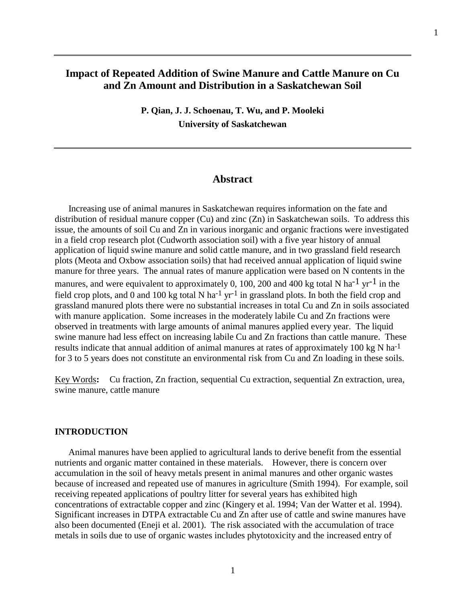# **Impact of Repeated Addition of Swine Manure and Cattle Manure on Cu and Zn Amount and Distribution in a Saskatchewan Soil**

**P. Qian, J. J. Schoenau, T. Wu, and P. Mooleki University of Saskatchewan** 

# **Abstract**

 Increasing use of animal manures in Saskatchewan requires information on the fate and distribution of residual manure copper (Cu) and zinc (Zn) in Saskatchewan soils. To address this issue, the amounts of soil Cu and Zn in various inorganic and organic fractions were investigated in a field crop research plot (Cudworth association soil) with a five year history of annual application of liquid swine manure and solid cattle manure, and in two grassland field research plots (Meota and Oxbow association soils) that had received annual application of liquid swine manure for three years. The annual rates of manure application were based on N contents in the manures, and were equivalent to approximately 0, 100, 200 and 400 kg total N ha<sup>-1</sup> yr<sup>-1</sup> in the field crop plots, and 0 and 100 kg total N ha<sup>-1</sup> yr<sup>-1</sup> in grassland plots. In both the field crop and grassland manured plots there were no substantial increases in total Cu and Zn in soils associated with manure application. Some increases in the moderately labile Cu and Zn fractions were observed in treatments with large amounts of animal manures applied every year. The liquid swine manure had less effect on increasing labile Cu and Zn fractions than cattle manure. These results indicate that annual addition of animal manures at rates of approximately 100 kg N ha-1 for 3 to 5 years does not constitute an environmental risk from Cu and Zn loading in these soils.

Key Words**:** Cu fraction, Zn fraction, sequential Cu extraction, sequential Zn extraction, urea, swine manure, cattle manure

### **INTRODUCTION**

 Animal manures have been applied to agricultural lands to derive benefit from the essential nutrients and organic matter contained in these materials. However, there is concern over accumulation in the soil of heavy metals present in animal manures and other organic wastes because of increased and repeated use of manures in agriculture (Smith 1994). For example, soil receiving repeated applications of poultry litter for several years has exhibited high concentrations of extractable copper and zinc (Kingery et al. 1994; Van der Watter et al. 1994). Significant increases in DTPA extractable Cu and Zn after use of cattle and swine manures have also been documented (Eneji et al. 2001). The risk associated with the accumulation of trace metals in soils due to use of organic wastes includes phytotoxicity and the increased entry of

1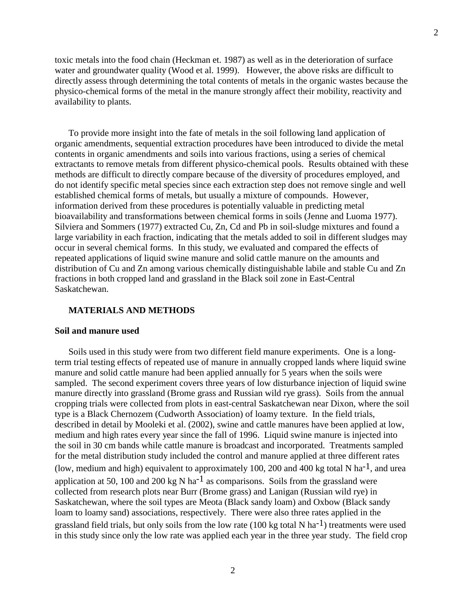toxic metals into the food chain (Heckman et. 1987) as well as in the deterioration of surface water and groundwater quality (Wood et al. 1999). However, the above risks are difficult to directly assess through determining the total contents of metals in the organic wastes because the physico-chemical forms of the metal in the manure strongly affect their mobility, reactivity and availability to plants.

 To provide more insight into the fate of metals in the soil following land application of organic amendments, sequential extraction procedures have been introduced to divide the metal contents in organic amendments and soils into various fractions, using a series of chemical extractants to remove metals from different physico-chemical pools. Results obtained with these methods are difficult to directly compare because of the diversity of procedures employed, and do not identify specific metal species since each extraction step does not remove single and well established chemical forms of metals, but usually a mixture of compounds. However, information derived from these procedures is potentially valuable in predicting metal bioavailability and transformations between chemical forms in soils (Jenne and Luoma 1977). Silviera and Sommers (1977) extracted Cu, Zn, Cd and Pb in soil-sludge mixtures and found a large variability in each fraction, indicating that the metals added to soil in different sludges may occur in several chemical forms. In this study, we evaluated and compared the effects of repeated applications of liquid swine manure and solid cattle manure on the amounts and distribution of Cu and Zn among various chemically distinguishable labile and stable Cu and Zn fractions in both cropped land and grassland in the Black soil zone in East-Central Saskatchewan.

### **MATERIALS AND METHODS**

#### **Soil and manure used**

 Soils used in this study were from two different field manure experiments. One is a longterm trial testing effects of repeated use of manure in annually cropped lands where liquid swine manure and solid cattle manure had been applied annually for 5 years when the soils were sampled. The second experiment covers three years of low disturbance injection of liquid swine manure directly into grassland (Brome grass and Russian wild rye grass). Soils from the annual cropping trials were collected from plots in east-central Saskatchewan near Dixon, where the soil type is a Black Chernozem (Cudworth Association) of loamy texture. In the field trials, described in detail by Mooleki et al. (2002), swine and cattle manures have been applied at low, medium and high rates every year since the fall of 1996. Liquid swine manure is injected into the soil in 30 cm bands while cattle manure is broadcast and incorporated. Treatments sampled for the metal distribution study included the control and manure applied at three different rates (low, medium and high) equivalent to approximately 100, 200 and 400 kg total N ha<sup>-1</sup>, and urea application at 50, 100 and 200 kg N ha<sup>-1</sup> as comparisons. Soils from the grassland were collected from research plots near Burr (Brome grass) and Lanigan (Russian wild rye) in Saskatchewan, where the soil types are Meota (Black sandy loam) and Oxbow (Black sandy loam to loamy sand) associations, respectively. There were also three rates applied in the grassland field trials, but only soils from the low rate (100 kg total N ha<sup>-1</sup>) treatments were used in this study since only the low rate was applied each year in the three year study. The field crop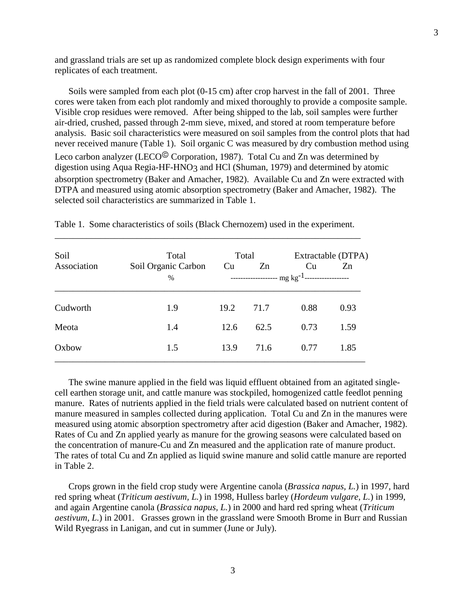and grassland trials are set up as randomized complete block design experiments with four replicates of each treatment.

 Soils were sampled from each plot (0-15 cm) after crop harvest in the fall of 2001. Three cores were taken from each plot randomly and mixed thoroughly to provide a composite sample. Visible crop residues were removed. After being shipped to the lab, soil samples were further air-dried, crushed, passed through 2-mm sieve, mixed, and stored at room temperature before analysis. Basic soil characteristics were measured on soil samples from the control plots that had never received manure (Table 1). Soil organic C was measured by dry combustion method using Leco carbon analyzer (LECO<sup> $\odot$ </sup> Corporation, 1987). Total Cu and Zn was determined by digestion using Aqua Regia-HF-HNO3 and HCl (Shuman, 1979) and determined by atomic absorption spectrometry (Baker and Amacher, 1982). Available Cu and Zn were extracted with DTPA and measured using atomic absorption spectrometry (Baker and Amacher, 1982). The selected soil characteristics are summarized in Table 1.

| Soil<br>Association | Total<br>Soil Organic Carbon<br>$\frac{0}{0}$ | Total<br>Cu | Zn   | Cu<br>--------------------- $\mbox{mg kg$^{-1}}$ -------------------- | Extractable (DTPA)<br>Zn |
|---------------------|-----------------------------------------------|-------------|------|-----------------------------------------------------------------------|--------------------------|
| Cudworth            | 1.9                                           | 19.2        | 71.7 | 0.88                                                                  | 0.93                     |
| Meota               | 1.4                                           | 12.6        | 62.5 | 0.73                                                                  | 1.59                     |
| Oxbow               | 1.5                                           | 13.9        | 71.6 | 0.77                                                                  | 1.85                     |

Table 1. Some characteristics of soils (Black Chernozem) used in the experiment. \_\_\_\_\_\_\_\_\_\_\_\_\_\_\_\_\_\_\_\_\_\_\_\_\_\_\_\_\_\_\_\_\_\_\_\_\_\_\_\_\_\_\_\_\_\_\_\_\_\_\_\_\_\_\_\_\_\_\_\_\_\_\_\_\_\_\_

 The swine manure applied in the field was liquid effluent obtained from an agitated singlecell earthen storage unit, and cattle manure was stockpiled, homogenized cattle feedlot penning manure. Rates of nutrients applied in the field trials were calculated based on nutrient content of manure measured in samples collected during application. Total Cu and Zn in the manures were measured using atomic absorption spectrometry after acid digestion (Baker and Amacher, 1982). Rates of Cu and Zn applied yearly as manure for the growing seasons were calculated based on the concentration of manure-Cu and Zn measured and the application rate of manure product. The rates of total Cu and Zn applied as liquid swine manure and solid cattle manure are reported in Table 2.

 Crops grown in the field crop study were Argentine canola (*Brassica napus, L.*) in 1997, hard red spring wheat (*Triticum aestivum, L.*) in 1998, Hulless barley (*Hordeum vulgare, L.*) in 1999, and again Argentine canola (*Brassica napus, L.*) in 2000 and hard red spring wheat (*Triticum aestivum, L.*) in 2001. Grasses grown in the grassland were Smooth Brome in Burr and Russian Wild Ryegrass in Lanigan, and cut in summer (June or July).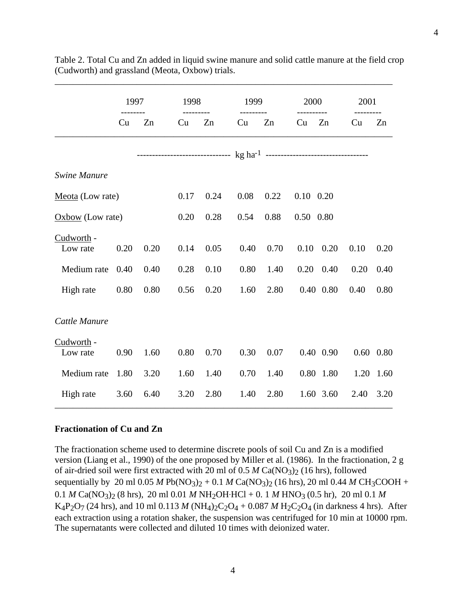|                        | 1997 |      |      | 1998 |      | 1999 |                   | 2000          |      | 2001 |  |
|------------------------|------|------|------|------|------|------|-------------------|---------------|------|------|--|
|                        | Cu   | Zn   | Cu   | Zn   | Cu   | Zn   | Cu                | Zn            | Cu   | Zn   |  |
|                        |      |      |      |      |      |      |                   |               |      |      |  |
| <b>Swine Manure</b>    |      |      |      |      |      |      |                   |               |      |      |  |
| Meota (Low rate)       |      |      | 0.17 | 0.24 | 0.08 | 0.22 | $0.10 \quad 0.20$ |               |      |      |  |
| $Oxbow$ (Low rate)     |      |      | 0.20 | 0.28 | 0.54 | 0.88 | 0.50 0.80         |               |      |      |  |
| Cudworth -<br>Low rate | 0.20 | 0.20 | 0.14 | 0.05 | 0.40 | 0.70 | 0.10              | 0.20          | 0.10 | 0.20 |  |
| Medium rate            | 0.40 | 0.40 | 0.28 | 0.10 | 0.80 | 1.40 | 0.20              | 0.40          | 0.20 | 0.40 |  |
| High rate              | 0.80 | 0.80 | 0.56 | 0.20 | 1.60 | 2.80 |                   | $0.40$ $0.80$ | 0.40 | 0.80 |  |
| Cattle Manure          |      |      |      |      |      |      |                   |               |      |      |  |
| Cudworth -<br>Low rate | 0.90 | 1.60 | 0.80 | 0.70 | 0.30 | 0.07 |                   | 0.40 0.90     | 0.60 | 0.80 |  |
| Medium rate            | 1.80 | 3.20 | 1.60 | 1.40 | 0.70 | 1.40 |                   | 0.80 1.80     | 1.20 | 1.60 |  |
| High rate              | 3.60 | 6.40 | 3.20 | 2.80 | 1.40 | 2.80 |                   | 1.60 3.60     | 2.40 | 3.20 |  |

Table 2. Total Cu and Zn added in liquid swine manure and solid cattle manure at the field crop (Cudworth) and grassland (Meota, Oxbow) trials.

\_\_\_\_\_\_\_\_\_\_\_\_\_\_\_\_\_\_\_\_\_\_\_\_\_\_\_\_\_\_\_\_\_\_\_\_\_\_\_\_\_\_\_\_\_\_\_\_\_\_\_\_\_\_\_\_\_\_\_\_\_\_\_\_\_\_\_\_\_\_\_\_\_\_

## **Fractionation of Cu and Zn**

The fractionation scheme used to determine discrete pools of soil Cu and Zn is a modified version (Liang et al., 1990) of the one proposed by Miller et al. (1986). In the fractionation, 2 g of air-dried soil were first extracted with 20 ml of 0.5 *M* Ca(NO3)2 (16 hrs), followed sequentially by 20 ml 0.05 *M* Pb(NO<sub>3</sub>)<sub>2</sub> + 0.1 *M* Ca(NO<sub>3</sub>)<sub>2</sub> (16 hrs), 20 ml 0.44 *M* CH<sub>3</sub>COOH + 0.1 *M* Ca(NO<sub>3</sub>)<sub>2</sub> (8 hrs), 20 ml 0.01 *M* NH<sub>2</sub>OH·HCl + 0. 1 *M* HNO<sub>3</sub> (0.5 hr), 20 ml 0.1 *M* K<sub>4</sub>P<sub>2</sub>O<sub>7</sub> (24 hrs), and 10 ml 0.113 *M* (NH<sub>4</sub>)<sub>2</sub>C<sub>2</sub>O<sub>4</sub> + 0.087 *M* H<sub>2</sub>C<sub>2</sub>O<sub>4</sub> (in darkness 4 hrs). After each extraction using a rotation shaker, the suspension was centrifuged for 10 min at 10000 rpm. The supernatants were collected and diluted 10 times with deionized water.

4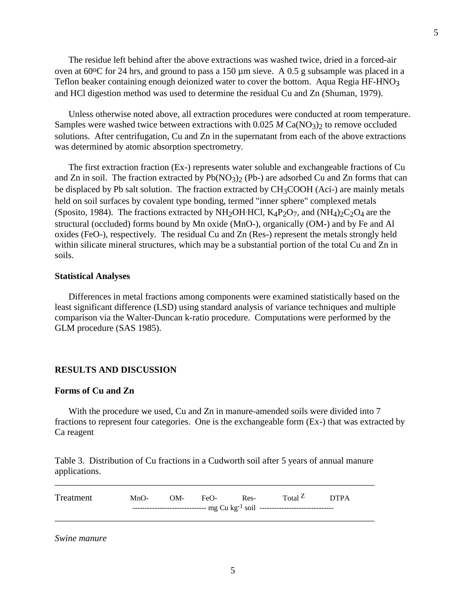The residue left behind after the above extractions was washed twice, dried in a forced-air oven at  $60^{\circ}$ C for 24 hrs, and ground to pass a 150  $\mu$ m sieve. A 0.5 g subsample was placed in a Teflon beaker containing enough deionized water to cover the bottom. Aqua Regia HF-HNO3 and HCl digestion method was used to determine the residual Cu and Zn (Shuman, 1979).

 Unless otherwise noted above, all extraction procedures were conducted at room temperature. Samples were washed twice between extractions with  $0.025 M Ca(NO<sub>3</sub>)<sub>2</sub>$  to remove occluded solutions. After centrifugation, Cu and Zn in the supernatant from each of the above extractions was determined by atomic absorption spectrometry.

 The first extraction fraction (Ex-) represents water soluble and exchangeable fractions of Cu and Zn in soil. The fraction extracted by  $Pb(NO_3)$  (Pb-) are adsorbed Cu and Zn forms that can be displaced by Pb salt solution. The fraction extracted by CH<sub>3</sub>COOH (Aci-) are mainly metals held on soil surfaces by covalent type bonding, termed "inner sphere" complexed metals (Sposito, 1984). The fractions extracted by NH<sub>2</sub>OH·HCl,  $K_4P_2O_7$ , and  $(NH_4)_2C_2O_4$  are the structural (occluded) forms bound by Mn oxide (MnO-), organically (OM-) and by Fe and Al oxides (FeO-), respectively. The residual Cu and Zn (Res-) represent the metals strongly held within silicate mineral structures, which may be a substantial portion of the total Cu and Zn in soils.

## **Statistical Analyses**

 Differences in metal fractions among components were examined statistically based on the least significant difference (LSD) using standard analysis of variance techniques and multiple comparison via the Walter-Duncan k-ratio procedure. Computations were performed by the GLM procedure (SAS 1985).

#### **RESULTS AND DISCUSSION**

#### **Forms of Cu and Zn**

With the procedure we used, Cu and Zn in manure-amended soils were divided into 7 fractions to represent four categories. One is the exchangeable form (Ex-) that was extracted by Ca reagent

Table 3. Distribution of Cu fractions in a Cudworth soil after 5 years of annual manure applications.

\_\_\_\_\_\_\_\_\_\_\_\_\_\_\_\_\_\_\_\_\_\_\_\_\_\_\_\_\_\_\_\_\_\_\_\_\_\_\_\_\_\_\_\_\_\_\_\_\_\_\_\_\_\_\_\_\_\_\_\_\_\_\_\_\_\_\_\_\_\_

Treatment MnO- OM- FeO- Res- Total Z DTPA ------------------------------ mg Cu kg-1 soil ------------------------------ \_\_\_\_\_\_\_\_\_\_\_\_\_\_\_\_\_\_\_\_\_\_\_\_\_\_\_\_\_\_\_\_\_\_\_\_\_\_\_\_\_\_\_\_\_\_\_\_\_\_\_\_\_\_\_\_\_\_\_\_\_\_\_\_\_\_\_\_\_\_

*Swine manure*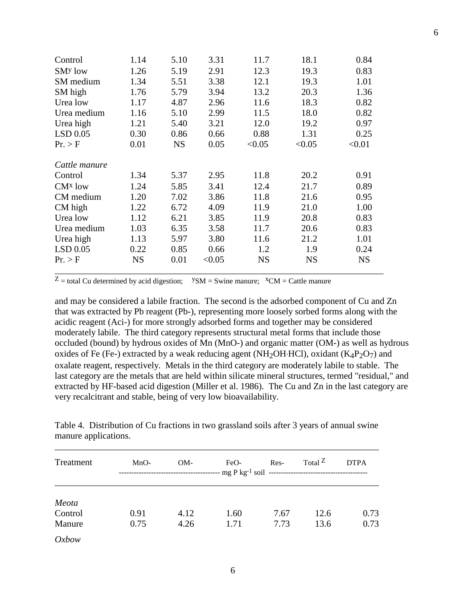| Control             | 1.14      | 5.10      | 3.31   | 11.7      | 18.1      | 0.84      |
|---------------------|-----------|-----------|--------|-----------|-----------|-----------|
| SM <sup>y</sup> low | 1.26      | 5.19      | 2.91   | 12.3      | 19.3      | 0.83      |
| SM medium           | 1.34      | 5.51      | 3.38   | 12.1      | 19.3      | 1.01      |
| SM high             | 1.76      | 5.79      | 3.94   | 13.2      | 20.3      | 1.36      |
| Urea low            | 1.17      | 4.87      | 2.96   | 11.6      | 18.3      | 0.82      |
| Urea medium         | 1.16      | 5.10      | 2.99   | 11.5      | 18.0      | 0.82      |
| Urea high           | 1.21      | 5.40      | 3.21   | 12.0      | 19.2      | 0.97      |
| LSD 0.05            | 0.30      | 0.86      | 0.66   | 0.88      | 1.31      | 0.25      |
| Pr. > F             | 0.01      | <b>NS</b> | 0.05   | < 0.05    | < 0.05    | < 0.01    |
| Cattle manure       |           |           |        |           |           |           |
| Control             | 1.34      | 5.37      | 2.95   | 11.8      | 20.2      | 0.91      |
| CM <sup>x</sup> low | 1.24      | 5.85      | 3.41   | 12.4      | 21.7      | 0.89      |
| CM medium           | 1.20      | 7.02      | 3.86   | 11.8      | 21.6      | 0.95      |
| CM high             | 1.22      | 6.72      | 4.09   | 11.9      | 21.0      | 1.00      |
| Urea low            | 1.12      | 6.21      | 3.85   | 11.9      | 20.8      | 0.83      |
| Urea medium         | 1.03      | 6.35      | 3.58   | 11.7      | 20.6      | 0.83      |
| Urea high           | 1.13      | 5.97      | 3.80   | 11.6      | 21.2      | 1.01      |
| $LSD$ 0.05          | 0.22      | 0.85      | 0.66   | 1.2       | 1.9       | 0.24      |
| Pr. > F             | <b>NS</b> | 0.01      | < 0.05 | <b>NS</b> | <b>NS</b> | <b>NS</b> |

 $Z =$  total Cu determined by acid digestion;  $YSM =$  Swine manure;  $XCM =$  Cattle manure

and may be considered a labile fraction. The second is the adsorbed component of Cu and Zn that was extracted by Pb reagent (Pb-), representing more loosely sorbed forms along with the acidic reagent (Aci-) for more strongly adsorbed forms and together may be considered moderately labile. The third category represents structural metal forms that include those occluded (bound) by hydrous oxides of Mn (MnO-) and organic matter (OM-) as well as hydrous oxides of Fe (Fe-) extracted by a weak reducing agent (NH<sub>2</sub>OH·HCl), oxidant ( $K_4P_2O_7$ ) and oxalate reagent, respectively. Metals in the third category are moderately labile to stable. The last category are the metals that are held within silicate mineral structures, termed "residual," and extracted by HF-based acid digestion (Miller et al. 1986). The Cu and Zn in the last category are very recalcitrant and stable, being of very low bioavailability.

|                      |  |  | Table 4. Distribution of Cu fractions in two grassland soils after 3 years of annual swine |
|----------------------|--|--|--------------------------------------------------------------------------------------------|
| manure applications. |  |  |                                                                                            |
|                      |  |  |                                                                                            |

| Treatment                  | $MnO-$<br>OM- |              | $FeO-$       | Res-         | Total $Z$    | <b>DTPA</b>  |  |
|----------------------------|---------------|--------------|--------------|--------------|--------------|--------------|--|
| Meota<br>Control<br>Manure | 0.91<br>0.75  | 4.12<br>4.26 | 1.60<br>1.71 | 7.67<br>7.73 | 12.6<br>13.6 | 0.73<br>0.73 |  |
| Oxbow                      |               |              |              |              |              |              |  |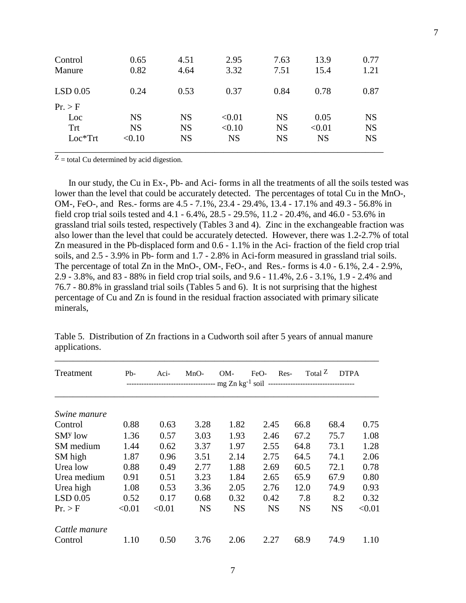| Control<br>Manure                         | 0.65<br>0.82                     | 4.51<br>4.64                        | 2.95<br>3.32                  | 7.63<br>7.51                        | 13.9<br>15.4                | 0.77<br>1.21                        |
|-------------------------------------------|----------------------------------|-------------------------------------|-------------------------------|-------------------------------------|-----------------------------|-------------------------------------|
| $LSD$ 0.05                                | 0.24                             | 0.53                                | 0.37                          | 0.84                                | 0.78                        | 0.87                                |
| Pr. > F<br>Loc<br><b>Trt</b><br>$Loc*Trt$ | <b>NS</b><br><b>NS</b><br>< 0.10 | <b>NS</b><br><b>NS</b><br><b>NS</b> | < 0.01<br>< 0.10<br><b>NS</b> | <b>NS</b><br><b>NS</b><br><b>NS</b> | 0.05<br>< 0.01<br><b>NS</b> | <b>NS</b><br><b>NS</b><br><b>NS</b> |

 $Z$  = total Cu determined by acid digestion.

 In our study, the Cu in Ex-, Pb- and Aci- forms in all the treatments of all the soils tested was lower than the level that could be accurately detected. The percentages of total Cu in the MnO-, OM-, FeO-, and Res.- forms are 4.5 - 7.1%, 23.4 - 29.4%, 13.4 - 17.1% and 49.3 - 56.8% in field crop trial soils tested and 4.1 - 6.4%, 28.5 - 29.5%, 11.2 - 20.4%, and 46.0 - 53.6% in grassland trial soils tested, respectively (Tables 3 and 4). Zinc in the exchangeable fraction was also lower than the level that could be accurately detected. However, there was 1.2-2.7% of total Zn measured in the Pb-displaced form and 0.6 - 1.1% in the Aci- fraction of the field crop trial soils, and 2.5 - 3.9% in Pb- form and 1.7 - 2.8% in Aci-form measured in grassland trial soils. The percentage of total Zn in the MnO-, OM-, FeO-, and Res.- forms is 4.0 - 6.1%, 2.4 - 2.9%, 2.9 - 3.8%, and 83 - 88% in field crop trial soils, and 9.6 - 11.4%, 2.6 - 3.1%, 1.9 - 2.4% and 76.7 - 80.8% in grassland trial soils (Tables 5 and 6). It is not surprising that the highest percentage of Cu and Zn is found in the residual fraction associated with primary silicate minerals,

| Treatment           | $Pb-$  | Aci-   | $MnO-$    | OM-<br>----------------------------------- mg Zn kg <sup>-1</sup> soil ---------------------------------- | Res-<br>$FeO-$ | Total $Z$ | <b>DTPA</b> |        |
|---------------------|--------|--------|-----------|-----------------------------------------------------------------------------------------------------------|----------------|-----------|-------------|--------|
| Swine manure        |        |        |           |                                                                                                           |                |           |             |        |
| Control             | 0.88   | 0.63   | 3.28      | 1.82                                                                                                      | 2.45           | 66.8      | 68.4        | 0.75   |
| SM <sup>y</sup> low | 1.36   | 0.57   | 3.03      | 1.93                                                                                                      | 2.46           | 67.2      | 75.7        | 1.08   |
| SM medium           | 1.44   | 0.62   | 3.37      | 1.97                                                                                                      | 2.55           | 64.8      | 73.1        | 1.28   |
| SM high             | 1.87   | 0.96   | 3.51      | 2.14                                                                                                      | 2.75           | 64.5      | 74.1        | 2.06   |
| Urea low            | 0.88   | 0.49   | 2.77      | 1.88                                                                                                      | 2.69           | 60.5      | 72.1        | 0.78   |
| Urea medium         | 0.91   | 0.51   | 3.23      | 1.84                                                                                                      | 2.65           | 65.9      | 67.9        | 0.80   |
| Urea high           | 1.08   | 0.53   | 3.36      | 2.05                                                                                                      | 2.76           | 12.0      | 74.9        | 0.93   |
| $LSD$ 0.05          | 0.52   | 0.17   | 0.68      | 0.32                                                                                                      | 0.42           | 7.8       | 8.2         | 0.32   |
| Pr. > F             | < 0.01 | < 0.01 | <b>NS</b> | <b>NS</b>                                                                                                 | <b>NS</b>      | <b>NS</b> | NS          | < 0.01 |
| Cattle manure       |        |        |           |                                                                                                           |                |           |             |        |
| Control             | 1.10   | 0.50   | 3.76      | 2.06                                                                                                      | 2.27           | 68.9      | 74.9        | 1.10   |

Table 5. Distribution of Zn fractions in a Cudworth soil after 5 years of annual manure applications.

\_\_\_\_\_\_\_\_\_\_\_\_\_\_\_\_\_\_\_\_\_\_\_\_\_\_\_\_\_\_\_\_\_\_\_\_\_\_\_\_\_\_\_\_\_\_\_\_\_\_\_\_\_\_\_\_\_\_\_\_\_\_\_\_\_\_\_\_\_\_\_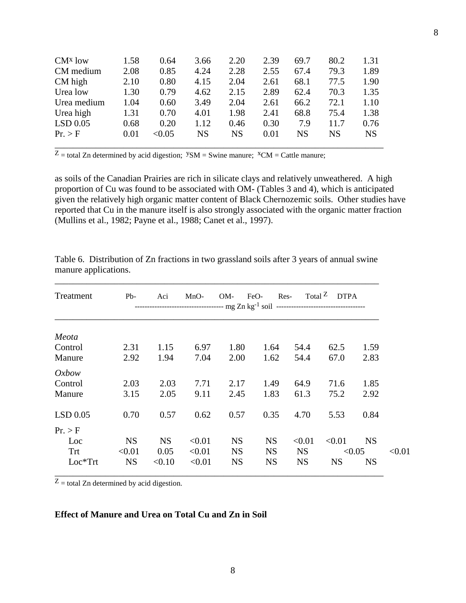| $CMx$ low   | 1.58 | 0.64   | 3.66      | 2.20      | 2.39 | 69.7      | 80.2      | 1.31      |
|-------------|------|--------|-----------|-----------|------|-----------|-----------|-----------|
| CM medium   | 2.08 | 0.85   | 4.24      | 2.28      | 2.55 | 67.4      | 79.3      | 1.89      |
| CM high     | 2.10 | 0.80   | 4.15      | 2.04      | 2.61 | 68.1      | 77.5      | 1.90      |
| Urea low    | 1.30 | 0.79   | 4.62      | 2.15      | 2.89 | 62.4      | 70.3      | 1.35      |
| Urea medium | 1.04 | 0.60   | 3.49      | 2.04      | 2.61 | 66.2      | 72.1      | 1.10      |
| Urea high   | 1.31 | 0.70   | 4.01      | 1.98      | 2.41 | 68.8      | 75.4      | 1.38      |
| $LSD$ 0.05  | 0.68 | 0.20   | 1.12      | 0.46      | 0.30 | 7.9       | 11.7      | 0.76      |
| Pr. > F     | 0.01 | < 0.05 | <b>NS</b> | <b>NS</b> | 0.01 | <b>NS</b> | <b>NS</b> | <b>NS</b> |
|             |      |        |           |           |      |           |           |           |

 $Z$  = total Zn determined by acid digestion;  $YSM$  = Swine manure;  $^XCM$  = Cattle manure;

as soils of the Canadian Prairies are rich in silicate clays and relatively unweathered. A high proportion of Cu was found to be associated with OM- (Tables 3 and 4), which is anticipated given the relatively high organic matter content of Black Chernozemic soils. Other studies have reported that Cu in the manure itself is also strongly associated with the organic matter fraction (Mullins et al., 1982; Payne et al., 1988; Canet et al., 1997).

| Treatment  | $Pb-$     | Aci       | $MnO-$ | $OM-$     | Res-<br>FeO- |           | Total <sup>Z</sup> DTPA |           |        |
|------------|-----------|-----------|--------|-----------|--------------|-----------|-------------------------|-----------|--------|
| Meota      |           |           |        |           |              |           |                         |           |        |
| Control    | 2.31      | 1.15      | 6.97   | 1.80      | 1.64         | 54.4      | 62.5                    | 1.59      |        |
| Manure     | 2.92      | 1.94      | 7.04   | 2.00      | 1.62         | 54.4      | 67.0                    | 2.83      |        |
| Oxbow      |           |           |        |           |              |           |                         |           |        |
| Control    | 2.03      | 2.03      | 7.71   | 2.17      | 1.49         | 64.9      | 71.6                    | 1.85      |        |
| Manure     | 3.15      | 2.05      | 9.11   | 2.45      | 1.83         | 61.3      | 75.2                    | 2.92      |        |
| $LSD$ 0.05 | 0.70      | 0.57      | 0.62   | 0.57      | 0.35         | 4.70      | 5.53                    | 0.84      |        |
| Pr. > F    |           |           |        |           |              |           |                         |           |        |
| Loc        | <b>NS</b> | <b>NS</b> | < 0.01 | <b>NS</b> | <b>NS</b>    | < 0.01    | < 0.01                  | <b>NS</b> |        |
| Trt        | < 0.01    | 0.05      | < 0.01 | <b>NS</b> | <b>NS</b>    | <b>NS</b> |                         | < 0.05    | < 0.01 |
| $Loc*Trt$  | <b>NS</b> | < 0.10    | < 0.01 | <b>NS</b> | <b>NS</b>    | <b>NS</b> | <b>NS</b>               | <b>NS</b> |        |

Table 6. Distribution of Zn fractions in two grassland soils after 3 years of annual swine manure applications.

\_\_\_\_\_\_\_\_\_\_\_\_\_\_\_\_\_\_\_\_\_\_\_\_\_\_\_\_\_\_\_\_\_\_\_\_\_\_\_\_\_\_\_\_\_\_\_\_\_\_\_\_\_\_\_\_\_\_\_\_\_\_\_\_\_\_\_\_\_\_\_

 $Z$  = total Zn determined by acid digestion.

## **Effect of Manure and Urea on Total Cu and Zn in Soil**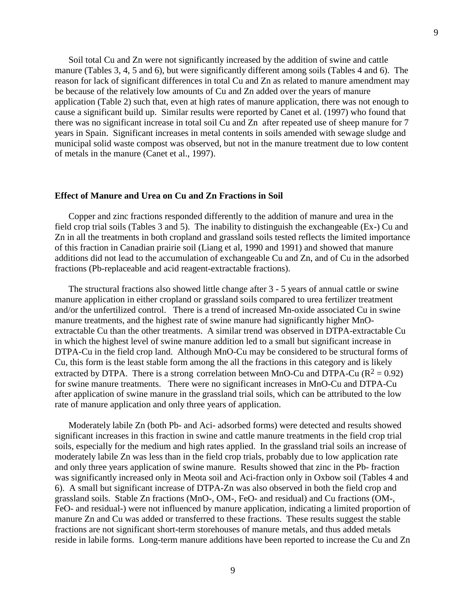Soil total Cu and Zn were not significantly increased by the addition of swine and cattle manure (Tables 3, 4, 5 and 6), but were significantly different among soils (Tables 4 and 6). The reason for lack of significant differences in total Cu and Zn as related to manure amendment may be because of the relatively low amounts of Cu and Zn added over the years of manure application (Table 2) such that, even at high rates of manure application, there was not enough to cause a significant build up. Similar results were reported by Canet et al. (1997) who found that there was no significant increase in total soil Cu and Zn after repeated use of sheep manure for 7 years in Spain. Significant increases in metal contents in soils amended with sewage sludge and municipal solid waste compost was observed, but not in the manure treatment due to low content of metals in the manure (Canet et al., 1997).

#### **Effect of Manure and Urea on Cu and Zn Fractions in Soil**

 Copper and zinc fractions responded differently to the addition of manure and urea in the field crop trial soils (Tables 3 and 5). The inability to distinguish the exchangeable (Ex-) Cu and Zn in all the treatments in both cropland and grassland soils tested reflects the limited importance of this fraction in Canadian prairie soil (Liang et al, 1990 and 1991) and showed that manure additions did not lead to the accumulation of exchangeable Cu and Zn, and of Cu in the adsorbed fractions (Pb-replaceable and acid reagent-extractable fractions).

 The structural fractions also showed little change after 3 - 5 years of annual cattle or swine manure application in either cropland or grassland soils compared to urea fertilizer treatment and/or the unfertilized control. There is a trend of increased Mn-oxide associated Cu in swine manure treatments, and the highest rate of swine manure had significantly higher MnOextractable Cu than the other treatments. A similar trend was observed in DTPA-extractable Cu in which the highest level of swine manure addition led to a small but significant increase in DTPA-Cu in the field crop land. Although MnO-Cu may be considered to be structural forms of Cu, this form is the least stable form among the all the fractions in this category and is likely extracted by DTPA. There is a strong correlation between MnO-Cu and DTPA-Cu ( $R^2 = 0.92$ ) for swine manure treatments. There were no significant increases in MnO-Cu and DTPA-Cu after application of swine manure in the grassland trial soils, which can be attributed to the low rate of manure application and only three years of application.

 Moderately labile Zn (both Pb- and Aci- adsorbed forms) were detected and results showed significant increases in this fraction in swine and cattle manure treatments in the field crop trial soils, especially for the medium and high rates applied. In the grassland trial soils an increase of moderately labile Zn was less than in the field crop trials, probably due to low application rate and only three years application of swine manure. Results showed that zinc in the Pb- fraction was significantly increased only in Meota soil and Aci-fraction only in Oxbow soil (Tables 4 and 6). A small but significant increase of DTPA-Zn was also observed in both the field crop and grassland soils. Stable Zn fractions (MnO-, OM-, FeO- and residual) and Cu fractions (OM-, FeO- and residual-) were not influenced by manure application, indicating a limited proportion of manure Zn and Cu was added or transferred to these fractions. These results suggest the stable fractions are not significant short-term storehouses of manure metals, and thus added metals reside in labile forms. Long-term manure additions have been reported to increase the Cu and Zn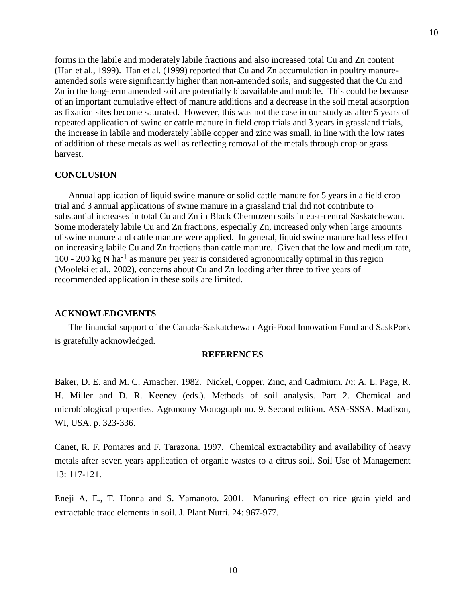forms in the labile and moderately labile fractions and also increased total Cu and Zn content (Han et al., 1999). Han et al. (1999) reported that Cu and Zn accumulation in poultry manureamended soils were significantly higher than non-amended soils, and suggested that the Cu and Zn in the long-term amended soil are potentially bioavailable and mobile. This could be because of an important cumulative effect of manure additions and a decrease in the soil metal adsorption as fixation sites become saturated. However, this was not the case in our study as after 5 years of repeated application of swine or cattle manure in field crop trials and 3 years in grassland trials, the increase in labile and moderately labile copper and zinc was small, in line with the low rates of addition of these metals as well as reflecting removal of the metals through crop or grass harvest.

#### **CONCLUSION**

 Annual application of liquid swine manure or solid cattle manure for 5 years in a field crop trial and 3 annual applications of swine manure in a grassland trial did not contribute to substantial increases in total Cu and Zn in Black Chernozem soils in east-central Saskatchewan. Some moderately labile Cu and Zn fractions, especially Zn, increased only when large amounts of swine manure and cattle manure were applied. In general, liquid swine manure had less effect on increasing labile Cu and Zn fractions than cattle manure. Given that the low and medium rate, 100 - 200 kg N ha-1 as manure per year is considered agronomically optimal in this region (Mooleki et al., 2002), concerns about Cu and Zn loading after three to five years of recommended application in these soils are limited.

#### **ACKNOWLEDGMENTS**

 The financial support of the Canada-Saskatchewan Agri-Food Innovation Fund and SaskPork is gratefully acknowledged.

### **REFERENCES**

Baker, D. E. and M. C. Amacher. 1982. Nickel, Copper, Zinc, and Cadmium. *In*: A. L. Page, R. H. Miller and D. R. Keeney (eds.). Methods of soil analysis. Part 2. Chemical and microbiological properties. Agronomy Monograph no. 9. Second edition. ASA-SSSA. Madison, WI, USA. p. 323-336.

Canet, R. F. Pomares and F. Tarazona. 1997. Chemical extractability and availability of heavy metals after seven years application of organic wastes to a citrus soil. Soil Use of Management 13: 117-121.

Eneji A. E., T. Honna and S. Yamanoto. 2001. Manuring effect on rice grain yield and extractable trace elements in soil. J. Plant Nutri. 24: 967-977.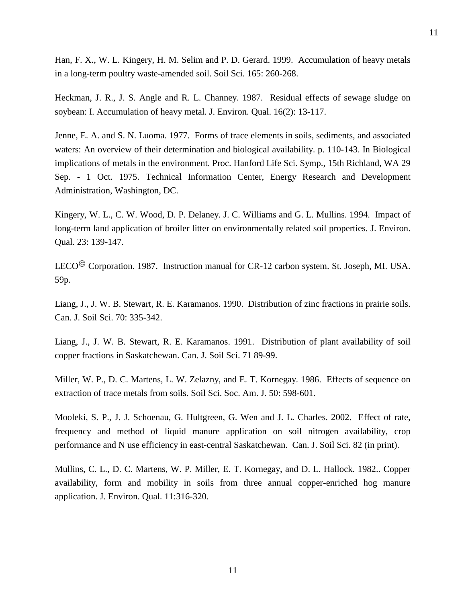Han, F. X., W. L. Kingery, H. M. Selim and P. D. Gerard. 1999. Accumulation of heavy metals in a long-term poultry waste-amended soil. Soil Sci. 165: 260-268.

11

Heckman, J. R., J. S. Angle and R. L. Channey. 1987. Residual effects of sewage sludge on soybean: I. Accumulation of heavy metal. J. Environ. Qual. 16(2): 13-117.

Jenne, E. A. and S. N. Luoma. 1977. Forms of trace elements in soils, sediments, and associated waters: An overview of their determination and biological availability. p. 110-143. In Biological implications of metals in the environment. Proc. Hanford Life Sci. Symp., 15th Richland, WA 29 Sep. - 1 Oct. 1975. Technical Information Center, Energy Research and Development Administration, Washington, DC.

Kingery, W. L., C. W. Wood, D. P. Delaney. J. C. Williams and G. L. Mullins. 1994. Impact of long-term land application of broiler litter on environmentally related soil properties. J. Environ. Qual. 23: 139-147.

LECO<sup>©</sup> Corporation. 1987. Instruction manual for CR-12 carbon system. St. Joseph, MI. USA. 59p.

Liang, J., J. W. B. Stewart, R. E. Karamanos. 1990. Distribution of zinc fractions in prairie soils. Can. J. Soil Sci. 70: 335-342.

Liang, J., J. W. B. Stewart, R. E. Karamanos. 1991. Distribution of plant availability of soil copper fractions in Saskatchewan. Can. J. Soil Sci. 71 89-99.

Miller, W. P., D. C. Martens, L. W. Zelazny, and E. T. Kornegay. 1986. Effects of sequence on extraction of trace metals from soils. Soil Sci. Soc. Am. J. 50: 598-601.

Mooleki, S. P., J. J. Schoenau, G. Hultgreen, G. Wen and J. L. Charles. 2002. Effect of rate, frequency and method of liquid manure application on soil nitrogen availability, crop performance and N use efficiency in east-central Saskatchewan. Can. J. Soil Sci. 82 (in print).

Mullins, C. L., D. C. Martens, W. P. Miller, E. T. Kornegay, and D. L. Hallock. 1982.. Copper availability, form and mobility in soils from three annual copper-enriched hog manure application. J. Environ. Qual. 11:316-320.